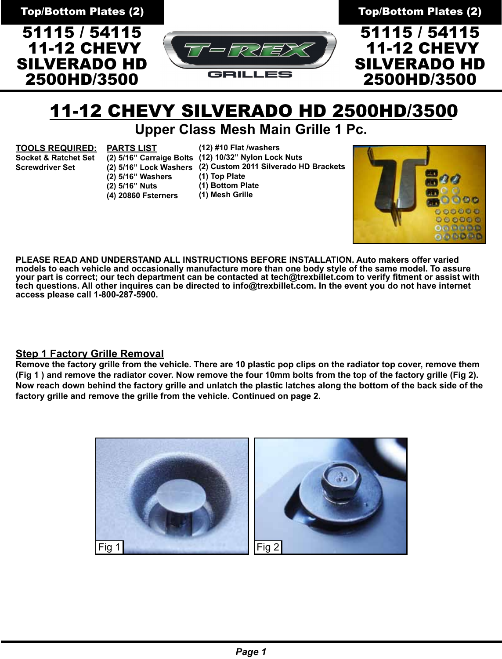51115 / 54115 11-12 CHEVY SILVERADO HD 2500HD/3500



Top/Bottom Plates (2) Top/Bottom Plates (2)

51115 / 54115 11-12 CHEVY SILVERADO HD 2500HD/3500

# 11-12 CHEVY SILVERADO HD 2500HD/3500

## **Upper Class Mesh Main Grille 1 Pc.**

**TOOLS REQUIRED:**

**PARTS LIST**

**(12) #10 Flat /washers**

**Socket & Ratchet Set Screwdriver Set**

**(2) 5/16" Lock Washers (2) Custom 2011 Silverado HD Brackets (2) 5/16" Washers (2) 5/16" Nuts (4) 20860 Fsterners**

**(2) 5/16" Carraige Bolts (12) 10/32" Nylon Lock Nuts**

**(1) Top Plate**

**(1) Bottom Plate**

**(1) Mesh Grille**



**PLEASE READ AND UNDERSTAND ALL INSTRUCTIONS BEFORE INSTALLATION. Auto makers offer varied models to each vehicle and occasionally manufacture more than one body style of the same model. To assure your part is correct; our tech department can be contacted at tech@trexbillet.com to verify fitment or assist with tech questions. All other inquires can be directed to info@trexbillet.com. In the event you do not have internet access please call 1-800-287-5900.**

### **Step 1 Factory Grille Removal**

**Remove the factory grille from the vehicle. There are 10 plastic pop clips on the radiator top cover, remove them (Fig 1 ) and remove the radiator cover. Now remove the four 10mm bolts from the top of the factory grille (Fig 2). Now reach down behind the factory grille and unlatch the plastic latches along the bottom of the back side of the factory grille and remove the grille from the vehicle. Continued on page 2.**